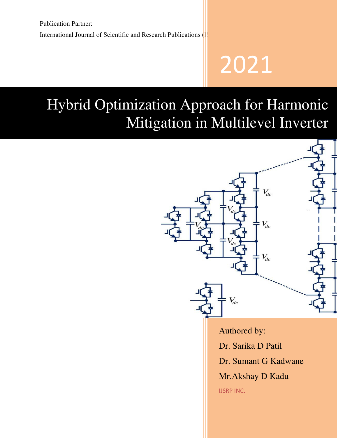# 2021

# Hybrid Optimization Approach for Harmonic Mitigation in Multilevel Inverter

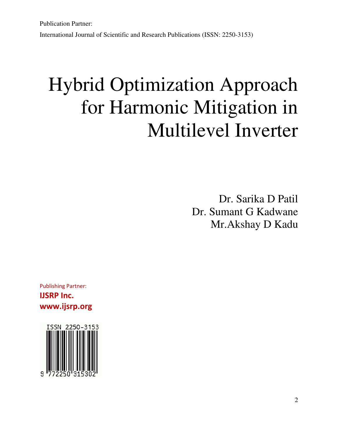Publication Partner: International Journal of Scientific and Research Publications (ISSN: 2250-3153)

# Hybrid Optimization Approach for Harmonic Mitigation in Multilevel Inverter

Dr. Sarika D Patil Dr. Sumant G Kadwane Mr.Akshay D Kadu

Publishing Partner: **IJSRP Inc. www.ijsrp.org** 

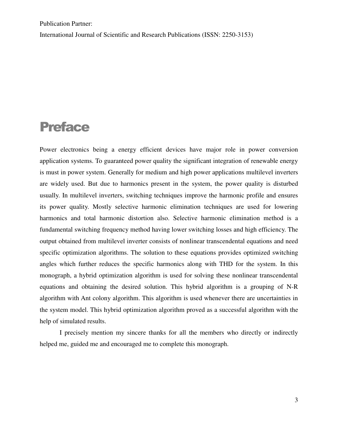International Journal of Scientific and Research Publications (ISSN: 2250-3153)

## Preface

Power electronics being a energy efficient devices have major role in power conversion application systems. To guaranteed power quality the significant integration of renewable energy is must in power system. Generally for medium and high power applications multilevel inverters are widely used. But due to harmonics present in the system, the power quality is disturbed usually. In multilevel inverters, switching techniques improve the harmonic profile and ensures its power quality. Mostly selective harmonic elimination techniques are used for lowering harmonics and total harmonic distortion also. Selective harmonic elimination method is a fundamental switching frequency method having lower switching losses and high efficiency. The output obtained from multilevel inverter consists of nonlinear transcendental equations and need specific optimization algorithms. The solution to these equations provides optimized switching angles which further reduces the specific harmonics along with THD for the system. In this monograph, a hybrid optimization algorithm is used for solving these nonlinear transcendental equations and obtaining the desired solution. This hybrid algorithm is a grouping of N-R algorithm with Ant colony algorithm. This algorithm is used whenever there are uncertainties in the system model. This hybrid optimization algorithm proved as a successful algorithm with the help of simulated results.

I precisely mention my sincere thanks for all the members who directly or indirectly helped me, guided me and encouraged me to complete this monograph.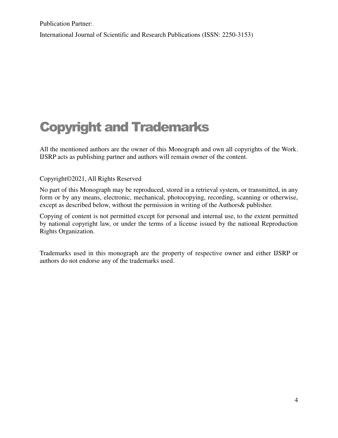International Journal of Scientific and Research Publications (ISSN: 2250-3153)

## Copyright and Trademarks

All the mentioned authors are the owner of this Monograph and own all copyrights of the Work. IJSRP acts as publishing partner and authors will remain owner of the content.

#### Copyright©2021, All Rights Reserved

No part of this Monograph may be reproduced, stored in a retrieval system, or transmitted, in any form or by any means, electronic, mechanical, photocopying, recording, scanning or otherwise, except as described below, without the permission in writing of the Authors& publisher.

Copying of content is not permitted except for personal and internal use, to the extent permitted by national copyright law, or under the terms of a license issued by the national Reproduction Rights Organization.

Trademarks used in this monograph are the property of respective owner and either IJSRP or authors do not endorse any of the trademarks used.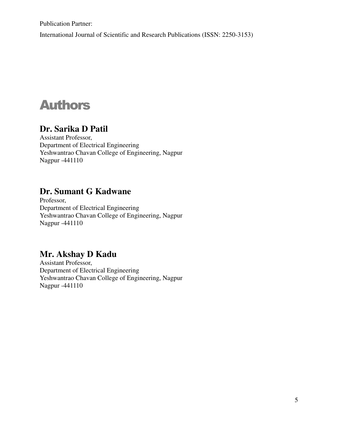Publication Partner: International Journal of Scientific and Research Publications (ISSN: 2250-3153)

## Authors

### **Dr. Sarika D Patil**

Assistant Professor, Department of Electrical Engineering Yeshwantrao Chavan College of Engineering, Nagpur Nagpur -441110

### **Dr. Sumant G Kadwane**

Professor, Department of Electrical Engineering Yeshwantrao Chavan College of Engineering, Nagpur Nagpur -441110

## **Mr. Akshay D Kadu**

Assistant Professor, Department of Electrical Engineering Yeshwantrao Chavan College of Engineering, Nagpur Nagpur -441110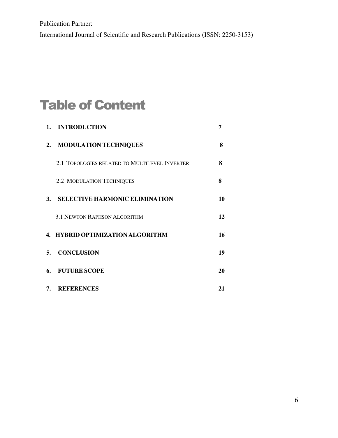Publication Partner: International Journal of Scientific and Research Publications (ISSN: 2250-3153)

# Table of Content

| <b>INTRODUCTION</b><br>1.                     | 7  |
|-----------------------------------------------|----|
| <b>MODULATION TECHNIQUES</b><br>2.            | 8  |
| 2.1 TOPOLOGIES RELATED TO MULTILEVEL INVERTER | 8  |
| 2.2 MODULATION TECHNIQUES                     | 8  |
| <b>SELECTIVE HARMONIC ELIMINATION</b><br>3.   | 10 |
| <b>3.1 NEWTON RAPHSON ALGORITHM</b>           | 12 |
| 4. HYBRID OPTIMIZATION ALGORITHM              | 16 |
| <b>CONCLUSION</b><br>5.                       | 19 |
| <b>FUTURE SCOPE</b><br>6.                     | 20 |
| <b>REFERENCES</b><br>7.                       | 21 |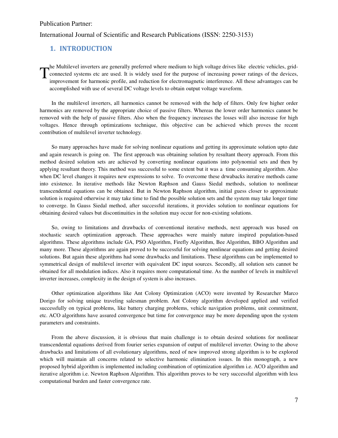#### <span id="page-6-0"></span>International Journal of Scientific and Research Publications (ISSN: 2250-3153)

#### **1. INTRODUCTION**

he Multilevel inverters are generally preferred where medium to high voltage drives like electric vehicles, gridconnected systems etc are used. It is widely used for the purpose of increasing power ratings of the devices, improvement for harmonic profile, and reduction for electromagnetic interference. All these advantages can be accomplished with use of several DC voltage levels to obtain output voltage waveform.  $\mathrm{T}^\text{\tiny{nc}}_\text{\tiny{in}}$ 

In the multilevel inverters, all harmonics cannot be removed with the help of filters. Only few higher order harmonics are removed by the appropriate choice of passive filters. Whereas the lower order harmonics cannot be removed with the help of passive filters. Also when the frequency increases the losses will also increase for high voltages. Hence through optimizations technique, this objective can be achieved which proves the recent contribution of multilevel inverter technology.

So many approaches have made for solving nonlinear equations and getting its approximate solution upto date and again research is going on. The first approach was obtaining solution by resultant theory approach. From this method desired solution sets are achieved by converting nonlinear equations into polynomial sets and then by applying resultant theory. This method was successful to some extent but it was a time consuming algorithm. Also when DC level changes it requires new expressions to solve. To overcome these drwabacks iterative methods came into existence. In iterative methods like Newton Raphson and Gauss Siedal methods, solution to nonlinear transcendental equations can be obtained. But in Newton Raphson algorithm, initial guess closer to approximate solution is required otherwise it may take time to find the possible solution sets and the system may take longer time to converge. In Gauss Siedal method, after successful iterations, it provides solution to nonlinear equations for obtaining desired values but discontinuities in the solution may occur for non-existing solutions.

So, owing to limitations and drawbacks of conventional iterative methods, next approach was based on stochastic search optimization approach. These approaches were mainly nature inspired population-based algorithms. These algorithms include GA, PSO Algorithm, Firefly Algorithm, Bee Algorithm, BBO Algorithm and many more. These algorithms are again proved to be successful for solving nonlinear equations and getting desired solutions. But again these algorithms had some drawbacks and limitations. These algorithms can be implemented to symmetrical design of multilevel inverter with equivalent DC input sources. Secondly, all solution sets cannot be obtained for all modulation indices. Also it requires more computational time. As the number of levels in multilevel inverter increases, complexity in the design of system is also increases.

Other optimization algorithms like Ant Colony Optimization (ACO) were invented by Researcher Marco Dorigo for solving unique traveling salesman problem. Ant Colony algorithm developed applied and verified successfully on typical problems, like battery charging problems, vehicle navigation problems, unit commitment, etc. ACO algorithms have assured convergence but time for convergence may be more depending upon the system parameters and constraints.

From the above discussion, it is obvious that main challenge is to obtain desired solutions for nonlinear transcendental equations derived from fourier series expansion of output of multilevel inverter. Owing to the above drawbacks and limitations of all evolutionary algorithms, need of new improved strong algorithm is to be explored which will maintain all concerns related to selective harmonic elimination issues. In this monograph, a new proposed hybrid algorithm is implemented including combination of optimization algorithm i.e. ACO algorithm and iterative algorithm i.e. Newton Raphson Algorithm. This algorithm proves to be very successful algorithm with less computational burden and faster convergence rate.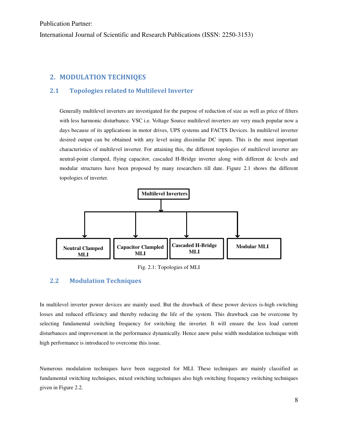Publication Partner: International Journal of Scientific and Research Publications (ISSN: 2250-3153)

#### <span id="page-7-0"></span>**2. MODULATION TECHNIQES**

#### <span id="page-7-1"></span>**2.1 Topologies related to Multilevel Inverter**

Generally multilevel inverters are investigated for the purpose of reduction of size as well as price of filters with less harmonic disturbance. VSC i.e. Voltage Source multilevel inverters are very much popular now a days because of its applications in motor drives, UPS systems and FACTS Devices. In multilevel inverter desired output can be obtained with any level using dissimilar DC inputs. This is the most important characteristics of multilevel inverter. For attaining this, the different topologies of multilevel inverter are neutral-point clamped, flying capacitor, cascaded H-Bridge inverter along with different dc levels and modular structures have been proposed by many researchers till date. Figure 2.1 shows the different topologies of inverter.



Fig. 2.1: Topologies of MLI

#### <span id="page-7-2"></span>**2.2 Modulation Techniques**

In multilevel inverter power devices are mainly used. But the drawback of these power devices is-high switching losses and reduced efficiency and thereby reducing the life of the system. This drawback can be overcome by selecting fundamental switching frequency for switching the inverter. It will ensure the less load current disturbances and improvement in the performance dynamically. Hence anew pulse width modulation technique with high performance is introduced to overcome this issue.

Numerous modulation techniques have been suggested for MLI. These techniques are mainly classified as fundamental switching techniques, mixed switching techniques also high switching frequency switching techniques given in Figure 2.2.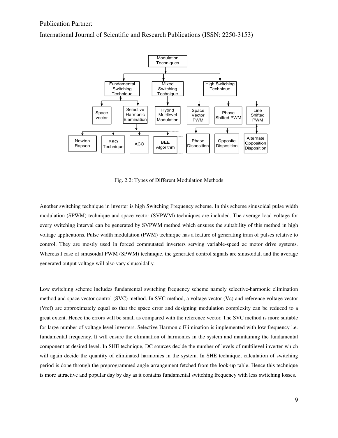

International Journal of Scientific and Research Publications (ISSN: 2250-3153)

Fig. 2.2: Types of Different Modulation Methods

Another switching technique in inverter is high Switching Frequency scheme. In this scheme sinusoidal pulse width modulation (SPWM) technique and space vector (SVPWM) techniques are included. The average load voltage for every switching interval can be generated by SVPWM method which ensures the suitability of this method in high voltage applications. Pulse width modulation (PWM) technique has a feature of generating train of pulses relative to control. They are mostly used in forced commutated inverters serving variable-speed ac motor drive systems. Whereas I case of sinusoidal PWM (SPWM) technique, the generated control signals are sinusoidal, and the average generated output voltage will also vary sinusoidally.

Low switching scheme includes fundamental switching frequency scheme namely selective-harmonic elimination method and space vector control (SVC) method. In SVC method, a voltage vector (Vc) and reference voltage vector (Vref) are approximately equal so that the space error and designing modulation complexity can be reduced to a great extent. Hence the errors will be small as compared with the reference vector. The SVC method is more suitable for large number of voltage level inverters. Selective Harmonic Elimination is implemented with low frequency i.e. fundamental frequency. It will ensure the elimination of harmonics in the system and maintaining the fundamental component at desired level. In SHE technique, DC sources decide the number of levels of multilevel inverter which will again decide the quantity of eliminated harmonics in the system. In SHE technique, calculation of switching period is done through the preprogrammed angle arrangement fetched from the look-up table. Hence this technique is more attractive and popular day by day as it contains fundamental switching frequency with less switching losses.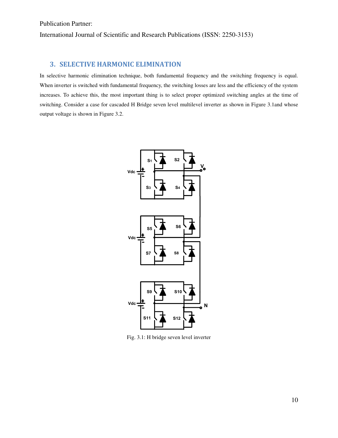#### <span id="page-9-0"></span>**3. SELECTIVE HARMONIC ELIMINATION**

In selective harmonic elimination technique, both fundamental frequency and the switching frequency is equal. When inverter is switched with fundamental frequency, the switching losses are less and the efficiency of the system increases. To achieve this, the most important thing is to select proper optimized switching angles at the time of switching. Consider a case for cascaded H Bridge seven level multilevel inverter as shown in Figure 3.1and whose output voltage is shown in Figure 3.2.



Fig. 3.1: H bridge seven level inverter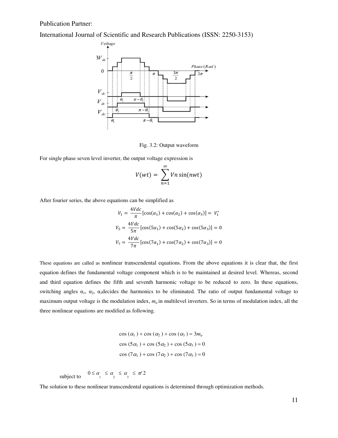International Journal of Scientific and Research Publications (ISSN: 2250-3153)



Fig. 3.2: Output waveform

For single phase seven level inverter, the output voltage expression is

$$
V(wt) = \sum_{n=1}^{\infty} Vn\sin(nwt)
$$

After fourier series, the above equations can be simplified as

$$
V_1 = \frac{4Vdc}{\pi} [\cos(\alpha_1) + \cos(\alpha_2) + \cos(\alpha_3)] = V_1^*
$$
  

$$
V_5 = \frac{4Vdc}{5\pi} [\cos(5\alpha_1) + \cos(5\alpha_2) + \cos(5\alpha_3)] = 0
$$
  

$$
V_7 = \frac{4Vdc}{7\pi} [\cos(7\alpha_1) + \cos(7\alpha_2) + \cos(7\alpha_3)] = 0
$$

These equations are called as nonlinear transcendental equations. From the above equations it is clear that, the first equation defines the fundamental voltage component which is to be maintained at desired level. Whereas, second and third equation defines the fifth and seventh harmonic voltage to be reduced to zero. In these equations, switching angles  $\alpha_1$ ,  $\alpha_2$ ,  $\alpha_3$ decides the harmonics to be eliminated. The ratio of output fundamental voltage to maximum output voltage is the modulation index,  $m_a$  in multilevel inverters. So in terms of modulation index, all the three nonlinear equations are modified as following.

> $\cos (\alpha_1 ) + \cos (\alpha_2 ) + \cos (\alpha_3 ) = 3m_a$  $\cos (5\alpha_1) + \cos (5\alpha_2) + \cos (5\alpha_3) = 0$  $\cos (7\alpha_1) + \cos (7\alpha_2) + \cos (7\alpha_3) = 0$

subject to  $\alpha_1 \leq \alpha_2 \leq \alpha_3 \leq \pi/2$ 

The solution to these nonlinear transcendental equations is determined through optimization methods.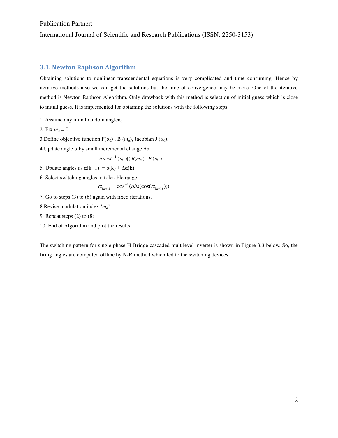International Journal of Scientific and Research Publications (ISSN: 2250-3153)

#### <span id="page-11-0"></span>**3.1. Newton Raphson Algorithm**

Obtaining solutions to nonlinear transcendental equations is very complicated and time consuming. Hence by iterative methods also we can get the solutions but the time of convergence may be more. One of the iterative method is Newton Raphson Algorithm. Only drawback with this method is selection of initial guess which is close to initial guess. It is implemented for obtaining the solutions with the following steps.

- 1. Assume any initial random angle $\alpha_0$
- 2. Fix  $m_a = 0$
- 3.Define objective function  $F(\alpha_0)$ , B  $(m_a)$ , Jacobian J  $(\alpha_0)$ .
- 4. Update angle  $\alpha$  by small incremental change  $\Delta \alpha$

$$
\Delta \alpha = J^{-1}(\alpha_0) [ (B(m_a) - F(\alpha_0)]
$$

- 5. Update angles as  $\alpha(k+1) = \alpha(k) + \Delta \alpha(k)$ .
- 6. Select switching angles in tolerable range.

$$
\alpha_{(k+1)} = \cos^{-1}(abs(\cos(\alpha_{(k+1)})))
$$

- 7. Go to steps (3) to (6) again with fixed iterations.
- 8.Revise modulation index '*ma*'
- 9. Repeat steps (2) to (8)
- 10. End of Algorithm and plot the results.

The switching pattern for single phase H-Bridge cascaded multilevel inverter is shown in Figure 3.3 below. So, the firing angles are computed offline by N-R method which fed to the switching devices.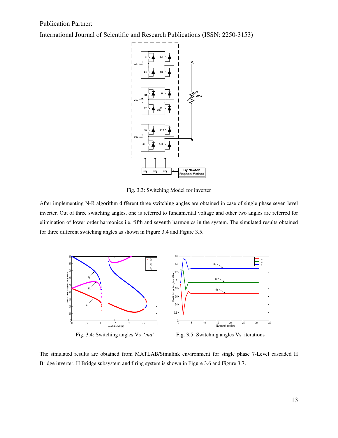International Journal of Scientific and Research Publications (ISSN: 2250-3153)



Fig. 3.3: Switching Model for inverter

After implementing N-R algorithm different three switching angles are obtained in case of single phase seven level inverter. Out of three switching angles, one is referred to fundamental voltage and other two angles are referred for elimination of lower order harmonics i.e. fifth and seventh harmonics in the system. The simulated results obtained for three different switching angles as shown in Figure 3.4 and Figure 3.5.



The simulated results are obtained from MATLAB/Simulink environment for single phase 7-Level cascaded H Bridge inverter. H Bridge subsystem and firing system is shown in Figure 3.6 and Figure 3.7.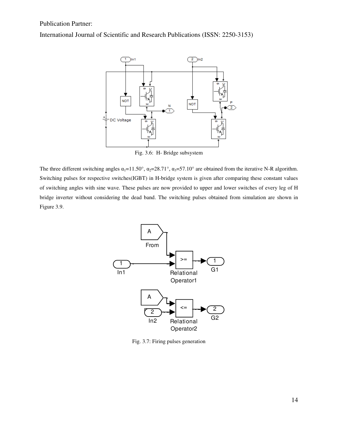International Journal of Scientific and Research Publications (ISSN: 2250-3153)



Fig. 3.6: H- Bridge subsystem

The three different switching angles  $\alpha_1 = 11.50^\circ$ ,  $\alpha_2 = 28.71^\circ$ ,  $\alpha_3 = 57.10^\circ$  are obtained from the iterative N-R algorithm. Switching pulses for respective switches(IGBT) in H-bridge system is given after comparing these constant values of switching angles with sine wave. These pulses are now provided to upper and lower switches of every leg of H bridge inverter without considering the dead band. The switching pulses obtained from simulation are shown in Figure 3.9.



Fig. 3.7: Firing pulses generation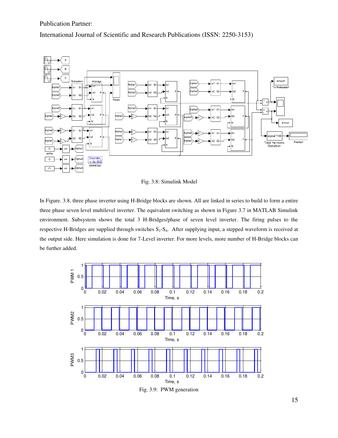International Journal of Scientific and Research Publications (ISSN: 2250-3153)



Fig. 3.8: Simulink Model

In Figure. 3.8, three phase inverter using H-Bridge blocks are shown. All are linked in series to build to form a entire three phase seven level multilevel inverter. The equivalent switching as shown in Figure 3.7 in MATLAB Simulink environment. Subsystem shows the total 3 H-Bridges/phase of seven level inverter. The firing pulses to the respective H-Bridges are supplied through switches  $S_1-S_4$ . After supplying input, a stepped waveform is received at the output side. Here simulation is done for 7-Level inverter. For more levels, more number of H-Bridge blocks can be further added.

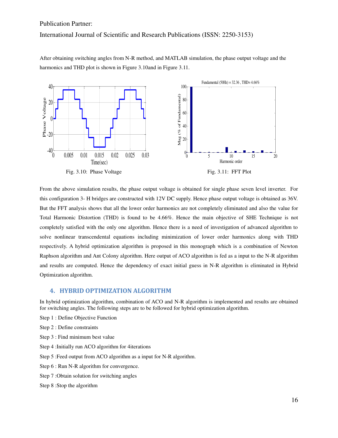#### International Journal of Scientific and Research Publications (ISSN: 2250-3153)

After obtaining switching angles from N-R method, and MATLAB simulation, the phase output voltage and the harmonics and THD plot is shown in Figure 3.10and in Figure 3.11.



From the above simulation results, the phase output voltage is obtained for single phase seven level inverter. For this configuration 3- H bridges are constructed with 12V DC supply. Hence phase output voltage is obtained as 36V. But the FFT analysis shows that all the lower order harmonics are not completely eliminated and also the value for Total Harmonic Distortion (THD) is found to be 4.66%. Hence the main objective of SHE Technique is not completely satisfied with the only one algorithm. Hence there is a need of investigation of advanced algorithm to solve nonlinear transcendental equations including minimization of lower order harmonics along with THD respectively. A hybrid optimization algorithm is proposed in this monograph which is a combination of Newton Raphson algorithm and Ant Colony algorithm. Here output of ACO algorithm is fed as a input to the N-R algorithm and results are computed. Hence the dependency of exact initial guess in N-R algorithm is eliminated in Hybrid Optimization algorithm.

#### <span id="page-15-0"></span>**4. HYBRID OPTIMIZATION ALGORITHM**

In hybrid optimization algorithm, combination of ACO and N-R algorithm is implemented and results are obtained for switching angles. The following steps are to be followed for hybrid optimization algorithm.

- Step 1 : Define Objective Function
- Step 2 : Define constraints
- Step 3 : Find minimum best value
- Step 4 :Initially run ACO algorithm for 4iterations
- Step 5 :Feed output from ACO algorithm as a input for N-R algorithm.
- Step 6 : Run N-R algorithm for convergence.
- Step 7 :Obtain solution for switching angles
- Step 8 :Stop the algorithm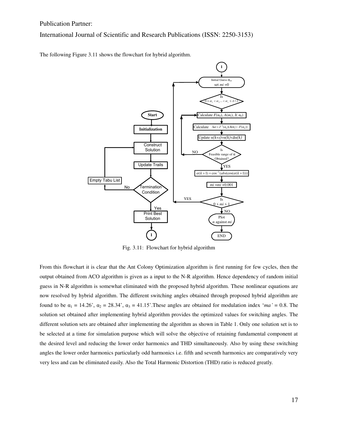International Journal of Scientific and Research Publications (ISSN: 2250-3153)

The following Figure 3.11 shows the flowchart for hybrid algorithm.



Fig. 3.11: Flowchart for hybrid algorithm

From this flowchart it is clear that the Ant Colony Optimization algorithm is first running for few cycles, then the output obtained from ACO algorithm is given as a input to the N-R algorithm. Hence dependency of random initial guess in N-R algorithm is somewhat eliminated with the proposed hybrid algorithm. These nonlinear equations are now resolved by hybrid algorithm. The different switching angles obtained through proposed hybrid algorithm are found to be  $\alpha_1 = 14.26^{\circ}$ ,  $\alpha_2 = 28.34^{\circ}$ ,  $\alpha_3 = 41.15^{\circ}$ . These angles are obtained for modulation index '*ma*<sup>2</sup> = 0.8. The solution set obtained after implementing hybrid algorithm provides the optimized values for switching angles. The different solution sets are obtained after implementing the algorithm as shown in Table 1. Only one solution set is to be selected at a time for simulation purpose which will solve the objective of retaining fundamental component at the desired level and reducing the lower order harmonics and THD simultaneously. Also by using these switching angles the lower order harmonics particularly odd harmonics i.e. fifth and seventh harmonics are comparatively very very less and can be eliminated easily. Also the Total Harmonic Distortion (THD) ratio is reduced greatly.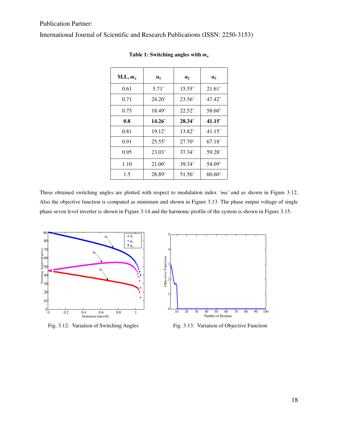| $M.I., m_a$ | $\alpha_1$      | $\mathbf{a}_2$     | $\alpha_3$         |
|-------------|-----------------|--------------------|--------------------|
| 0.61        | $5.71^\circ$    | $15.55^{\circ}$    | $21.61^{\circ}$    |
| 0.71        | $24.20^{\circ}$ | $23.56^{\circ}$    | $47.42^{\circ}$    |
| 0.75        | $18.49^{\circ}$ | $22.52^{\circ}$    | 58.60 <sup>°</sup> |
| 0.8         | $14.26^{\circ}$ | $28.34^{\circ}$    | $41.15^\circ$      |
| 0.81        | $19.12^{\circ}$ | 13.82 <sup>°</sup> | $41.15^{\circ}$    |
| 0.91        | $25.55^{\circ}$ | $27.70^{\circ}$    | $67.18^{\circ}$    |
| 0.95        | $23.03^{\circ}$ | $37.34^{\circ}$    | $59.28^{\circ}$    |
| 1.10        | $21.00^{\circ}$ | $39.34^{\circ}$    | $54.09^{\circ}$    |
| 1.5         | 28.89°          | $51.56^{\circ}$    | $60.60^{\circ}$    |

**Table 1: Switching angles with** *m<sup>a</sup>*

These obtained switching angles are plotted with respect to modulation index *'ma' a*nd as shown in Figure 3.12. Also the objective function is computed as minimum and shown in Figure 3.13. The phase output voltage of single phase seven level inverter is shown in Figure 3.14 and the harmonic profile of the system is shown in Figure 3.15.





Fig. 3.12: Variation of Switching Angles Fig. 3.13: Variation of Objective Function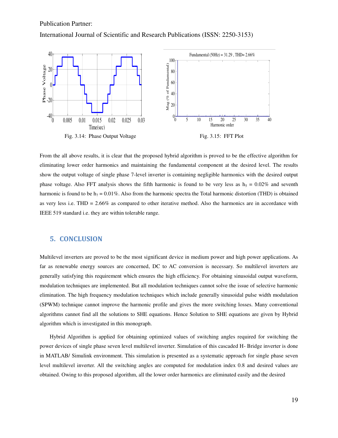International Journal of Scientific and Research Publications (ISSN: 2250-3153)



From the all above results, it is clear that the proposed hybrid algorithm is proved to be the effective algorithm for eliminating lower order harmonics and maintaining the fundamental component at the desired level. The results show the output voltage of single phase 7-level inverter is containing negligible harmonics with the desired output phase voltage. Also FFT analysis shows the fifth harmonic is found to be very less as  $h<sub>5</sub> = 0.02%$  and seventh harmonic is found to be  $h_7 = 0.01\%$ . Also from the harmonic spectra the Total harmonic distortion (THD) is obtained as very less i.e. THD = 2.66% as compared to other iterative method. Also the harmonics are in accordance with IEEE 519 standard i.e. they are within tolerable range.

#### <span id="page-18-0"></span>**5. CONCLUSION**

Multilevel inverters are proved to be the most significant device in medium power and high power applications. As far as renewable energy sources are concerned, DC to AC conversion is necessary. So multilevel inverters are generally satisfying this requirement which ensures the high efficiency. For obtaining sinusoidal output waveform, modulation techniques are implemented. But all modulation techniques cannot solve the issue of selective harmonic elimination. The high frequency modulation techniques which include generally sinusoidal pulse width modulation (SPWM) technique cannot improve the harmonic profile and gives the more switching losses. Many conventional algorithms cannot find all the solutions to SHE equations. Hence Solution to SHE equations are given by Hybrid algorithm which is investigated in this monograph.

Hybrid Algorithm is applied for obtaining optimized values of switching angles required for switching the power devices of single phase seven level multilevel inverter. Simulation of this cascaded H- Bridge inverter is done in MATLAB/ Simulink environment. This simulation is presented as a systematic approach for single phase seven level multilevel inverter. All the switching angles are computed for modulation index 0.8 and desired values are obtained. Owing to this proposed algorithm, all the lower order harmonics are eliminated easily and the desired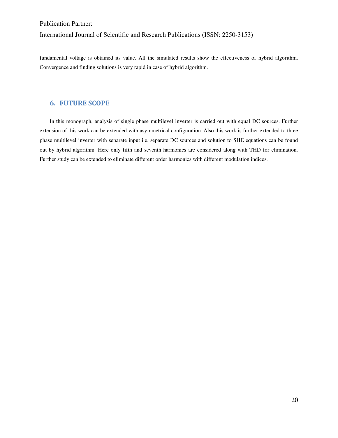International Journal of Scientific and Research Publications (ISSN: 2250-3153)

fundamental voltage is obtained its value. All the simulated results show the effectiveness of hybrid algorithm. Convergence and finding solutions is very rapid in case of hybrid algorithm.

#### <span id="page-19-0"></span>**6. FUTURE SCOPE**

In this monograph, analysis of single phase multilevel inverter is carried out with equal DC sources. Further extension of this work can be extended with asymmetrical configuration. Also this work is further extended to three phase multilevel inverter with separate input i.e. separate DC sources and solution to SHE equations can be found out by hybrid algorithm. Here only fifth and seventh harmonics are considered along with THD for elimination. Further study can be extended to eliminate different order harmonics with different modulation indices.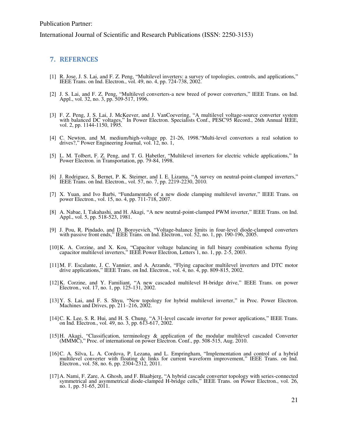#### <span id="page-20-0"></span>**7. REFERNCES**

- [1] R. Jose, J. S. Lai, and F. Z. Peng, "Multilevel inverters: a survey of topologies, controls, and applications," IEEE Trans. on Ind. Electron., vol. 49, no. 4, pp. 724-738, 2002.
- [2] J. S. Lai, and F. Z. Peng, "Multilevel converters-a new breed of power converters," IEEE Trans. on Ind. Appl., vol. 32, no. 3, pp. 509-517, 1996.
- [3] F. Z. Peng, J. S. Lai, J. McKeever, and J. VanCoevering, "A multilevel voltage-source converter system with balanced DC voltages," In Power Electron. Specialists Conf., PESC'95 Record., 26th Annual IEEE, vol. 2, pp. 1144-1150, 1995.
- [4] C. Newton, and M. medium/high-voltage pp. 21-26, 1998."Multi-level convertors a real solution to drives?," Power Engineering Journal, vol. 12, no. 1,
- [5] L. M. Tolbert, F. Z. Peng, and T. G. Habetler, "Multilevel inverters for electric vehicle applications," In Power Electron. in Transportation, pp. 79-84, 1998.
- [6] J. Rodriguez, S. Bernet, P. K. Steimer, and I. E. Lizama, "A survey on neutral-point-clamped inverters," IEEE Trans. on Ind. Electron., vol. 57, no. 7, pp. 2219-2230, 2010.
- [7] X. Yuan, and Ivo Barbi, "Fundamentals of a new diode clamping multilevel inverter," IEEE Trans. on power Electron., vol. 15, no. 4, pp. 711-718, 2007.
- [8] A. Nabae, I. Takahashi, and H. Akagi, "A new neutral-point-clamped PWM inverter," IEEE Trans. on Ind. Appl., vol. 5, pp. 518-523, 1981.
- [9] J. Pou, R. Pindado, and D. Boroyevich, "Voltage-balance limits in four-level diode-clamped converters with passive front ends," IEEE Trans. on Ind. Electron., vol. 52, no. 1, pp. 190-196, 2005.
- [10]K. A. Corzine, and X. Kou, "Capacitor voltage balancing in full binary combination schema flying capacitor multilevel inverters," IEEE Power Electron, Letters 1, no. 1, pp. 2-5, 2003.
- [11]M. F. Escalante, J. C. Vannier, and A. Arzande, "Flying capacitor multilevel inverters and DTC motor drive applications," IEEE Trans. on Ind. Electron., vol. 4, no. 4, pp. 809-815, 2002.
- [12]K. Corzine, and Y. Familiant, "A new cascaded multilevel H-bridge drive," IEEE Trans. on power Electron., vol. 17, no. 1, pp. 125-131, 2002.
- [13]Y. S. Lai, and F. S. Shyu, "New topology for hybrid multilevel inverter," in Proc. Power Electron. Machines and Drives, pp. 211–216, 2002.
- [14]C. K. Lee, S. R. Hui, and H. S. Chung, "A 31-level cascade inverter for power applications," IEEE Trans. on Ind. Electron., vol. 49, no. 3, pp. 613-617, 2002.
- [15]H. Akagi, "Classification, terminology & application of the modular multilevel cascaded Converter (MMMC)," Proc. of international on power Electron. Conf., pp. 508-515, Aug. 2010.
- [16]C. A. Silva, L. A. Cordova, P. Lezana, and L. Empringham, "Implementation and control of a hybrid multilevel converter with floating dc links for current waveform improvement," IEEE Trans. on Ind. Electron., vol. 58, no. 6, pp. 2304-2312, 2011.
- [17]A. Nami, F. Zare, A. Ghosh, and F. Blaabjerg, "A hybrid cascade converter topology with series-connected symmetrical and asymmetrical diode-clamped H-bridge cells," IEEE Trans. on Power Electron., vol. 26, no. 1, pp. 51-65, 2011.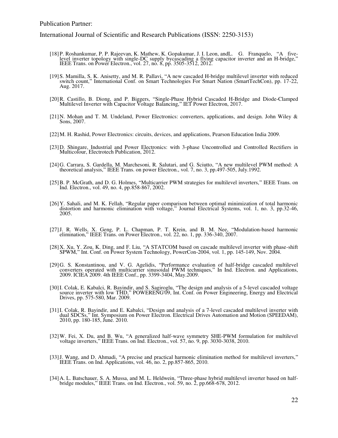- [18]P. Roshankumar, P. P. Rajeevan, K. Mathew, K. Gopakumar, J. I. Leon, andL. G. Franquelo, "A fivelevel inverter topology with single-DC supply bycascading a flying capacitor inverter and an H-bridge," IEEE Trans. on Power Electron., vol. 27, no. 8, pp. 3505-3512, 2012.
- [19]S. Mamilla, S. K. Anisetty, and M. R. Pallavi, "A new cascaded H-bridge multilevel inverter with reduced switch count," International Conf. on Smart Technologies For Smart Nation (SmartTechCon), pp. 17-22, Aug. 2017.
- [20]R. Castillo, B. Diong, and P. Biggers, "Single-Phase Hybrid Cascaded H-Bridge and Diode-Clamped Multilevel Inverter with Capacitor Voltage Balancing," IET Power Electron, 2017.
- [21]N. Mohan and T. M. Undeland, Power Electronics: converters, applications, and design. John Wiley & Sons, 2007.
- [22]M. H. Rashid, Power Electronics: circuits, devices, and applications, Pearson Education India 2009.
- [23]D. Shingare, Industrial and Power Electronics: with 3-phase Uncontrolled and Controlled Rectifiers in Multicolour, Electrotech Publication, 2012.
- [24]G. Carrara, S. Gardella, M. Marchesoni, R. Salutari, and G. Sciutto, "A new multilevel PWM method: A theoretical analysis," IEEE Trans. on power Electron., vol. 7, no. 3, pp.497-505, July.1992.
- [25]B. P. McGrath, and D. G. Holmes, "Multicarrier PWM strategies for multilevel inverters," IEEE Trans. on Ind. Electron., vol. 49, no. 4, pp.858-867, 2002.
- [26]Y. Sahali, and M. K. Fellah, "Regular paper comparison between optimal minimization of total harmonic distortion and harmonic elimination with voltage," Journal Electrical Systems, vol. 1, no. 3, pp.32-46, 2005.
- [27]J. R. Wells, X. Geng, P. L. Chapman, P. T. Krein, and B. M. Nee, "Modulation-based harmonic elimination," IEEE Trans. on Power Electron., vol. 22, no. 1, pp. 336-340, 2007.
- [28] X. Xu, Y. Zou, K. Ding, and F. Liu, "A STATCOM based on cascade multilevel inverter with phase-shift SPWM," Int. Conf. on Power System Technology, PowerCon-2004, vol. 1, pp. 145-149, Nov. 2004.
- [29]G. S. Konstantinou, and V. G. Agelidis, "Performance evaluation of half-bridge cascaded multilevel converters operated with multicarrier sinusoidal PWM techniques," In Ind. Electron. and Applications, 2009. ICIEA 2009. 4th IEEE Conf., pp. 3399-3404, May.2009.
- [30]I. Colak, E. Kabalci, R. Bayindir, and S. Sagiroglu, "The design and analysis of a 5-level cascaded voltage source inverter with low THD," POWERENG'09, Int. Conf. on Power Engineering, Energy and Electrical Drives, pp. 575-580, Mar. 2009.
- [31]I. Colak, R. Bayindir, and E. Kabalci, "Design and analysis of a 7-level cascaded multilevel inverter with dual SDCSs," Int. Symposium on Power Electron. Electrical Drives Automation and Motion (SPEEDAM), 2010, pp. 180-185, June. 2010.
- [32]W. Fei, X. Du, and B. Wu, "A generalized half-wave symmetry SHE-PWM formulation for multilevel voltage inverters," IEEE Trans. on Ind. Electron., vol. 57, no. 9, pp. 3030-3038, 2010.
- [33]J. Wang, and D. Ahmadi, "A precise and practical harmonic elimination method for multilevel inverters," IEEE Trans. on Ind. Applications, vol. 46, no. 2, pp.857-865, 2010.
- [34]A. L. Batschauer, S. A. Mussa, and M. L. Heldwein, "Three-phase hybrid multilevel inverter based on halfbridge modules," IEEE Trans. on Ind. Electron., vol. 59, no. 2, pp.668-678, 2012.